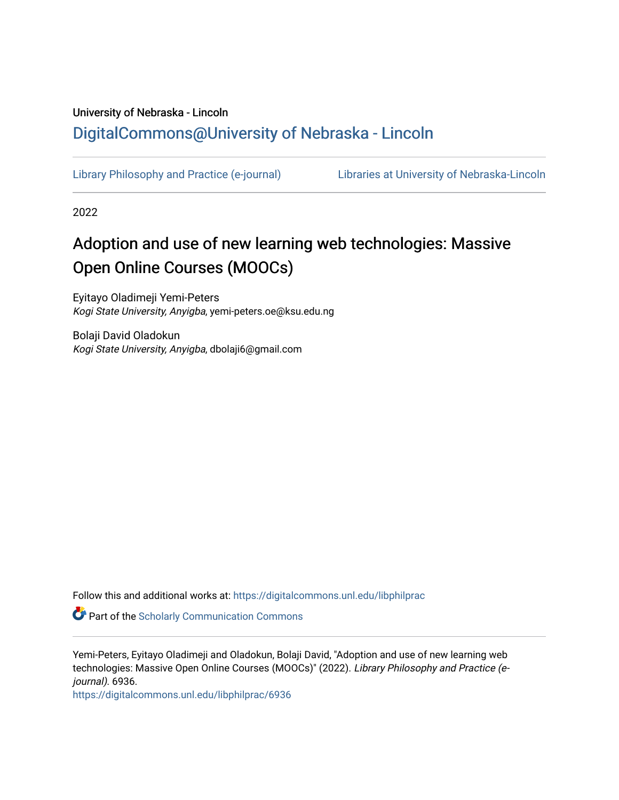# University of Nebraska - Lincoln [DigitalCommons@University of Nebraska - Lincoln](https://digitalcommons.unl.edu/)

[Library Philosophy and Practice \(e-journal\)](https://digitalcommons.unl.edu/libphilprac) [Libraries at University of Nebraska-Lincoln](https://digitalcommons.unl.edu/libraries) 

2022

# Adoption and use of new learning web technologies: Massive Open Online Courses (MOOCs)

Eyitayo Oladimeji Yemi-Peters Kogi State University, Anyigba, yemi-peters.oe@ksu.edu.ng

Bolaji David Oladokun Kogi State University, Anyigba, dbolaji6@gmail.com

Follow this and additional works at: [https://digitalcommons.unl.edu/libphilprac](https://digitalcommons.unl.edu/libphilprac?utm_source=digitalcommons.unl.edu%2Flibphilprac%2F6936&utm_medium=PDF&utm_campaign=PDFCoverPages) 

Part of the [Scholarly Communication Commons](http://network.bepress.com/hgg/discipline/1272?utm_source=digitalcommons.unl.edu%2Flibphilprac%2F6936&utm_medium=PDF&utm_campaign=PDFCoverPages) 

Yemi-Peters, Eyitayo Oladimeji and Oladokun, Bolaji David, "Adoption and use of new learning web technologies: Massive Open Online Courses (MOOCs)" (2022). Library Philosophy and Practice (ejournal). 6936.

[https://digitalcommons.unl.edu/libphilprac/6936](https://digitalcommons.unl.edu/libphilprac/6936?utm_source=digitalcommons.unl.edu%2Flibphilprac%2F6936&utm_medium=PDF&utm_campaign=PDFCoverPages)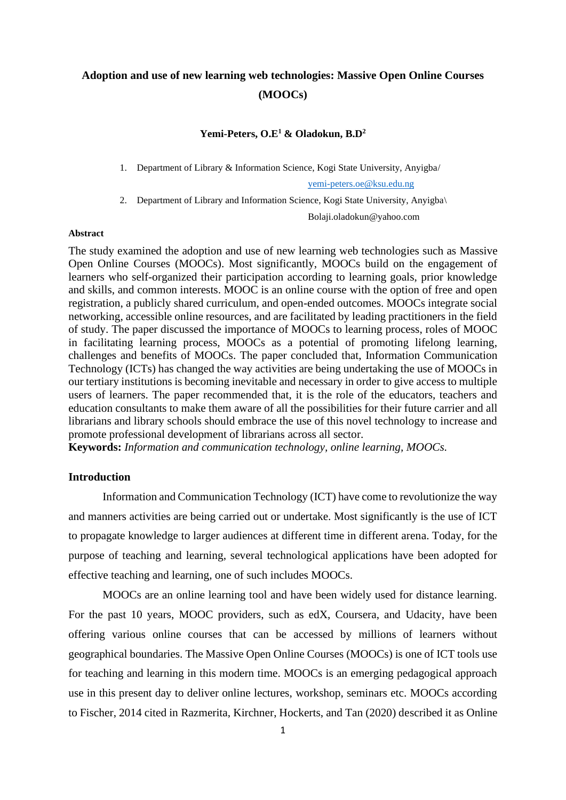# **Adoption and use of new learning web technologies: Massive Open Online Courses (MOOCs)**

## **Yemi-Peters, O.E<sup>1</sup> & Oladokun, B.D<sup>2</sup>**

1. Department of Library & Information Science, Kogi State University, Anyigba/

[yemi-peters.oe@ksu.edu.ng](mailto:yemi-peters.oe@ksu.edu.ng)

2. Department of Library and Information Science, Kogi State University, Anyigba\

Bolaji.oladokun@yahoo.com

# **Abstract**

The study examined the adoption and use of new learning web technologies such as Massive Open Online Courses (MOOCs). Most significantly, MOOCs build on the engagement of learners who self-organized their participation according to learning goals, prior knowledge and skills, and common interests. MOOC is an online course with the option of free and open registration, a publicly shared curriculum, and open-ended outcomes. MOOCs integrate social networking, accessible online resources, and are facilitated by leading practitioners in the field of study. The paper discussed the importance of MOOCs to learning process, roles of MOOC in facilitating learning process, MOOCs as a potential of promoting lifelong learning, challenges and benefits of MOOCs. The paper concluded that, Information Communication Technology (ICTs) has changed the way activities are being undertaking the use of MOOCs in our tertiary institutions is becoming inevitable and necessary in order to give access to multiple users of learners. The paper recommended that, it is the role of the educators, teachers and education consultants to make them aware of all the possibilities for their future carrier and all librarians and library schools should embrace the use of this novel technology to increase and promote professional development of librarians across all sector.

**Keywords:** *Information and communication technology, online learning, MOOCs.*

# **Introduction**

Information and Communication Technology (ICT) have come to revolutionize the way and manners activities are being carried out or undertake. Most significantly is the use of ICT to propagate knowledge to larger audiences at different time in different arena. Today, for the purpose of teaching and learning, several technological applications have been adopted for effective teaching and learning, one of such includes MOOCs.

MOOCs are an online learning tool and have been widely used for distance learning. For the past 10 years, MOOC providers, such as edX, Coursera, and Udacity, have been offering various online courses that can be accessed by millions of learners without geographical boundaries. The Massive Open Online Courses (MOOCs) is one of ICT tools use for teaching and learning in this modern time. MOOCs is an emerging pedagogical approach use in this present day to deliver online lectures, workshop, seminars etc. MOOCs according to Fischer, 2014 cited in Razmerita, Kirchner, Hockerts, and Tan (2020) described it as Online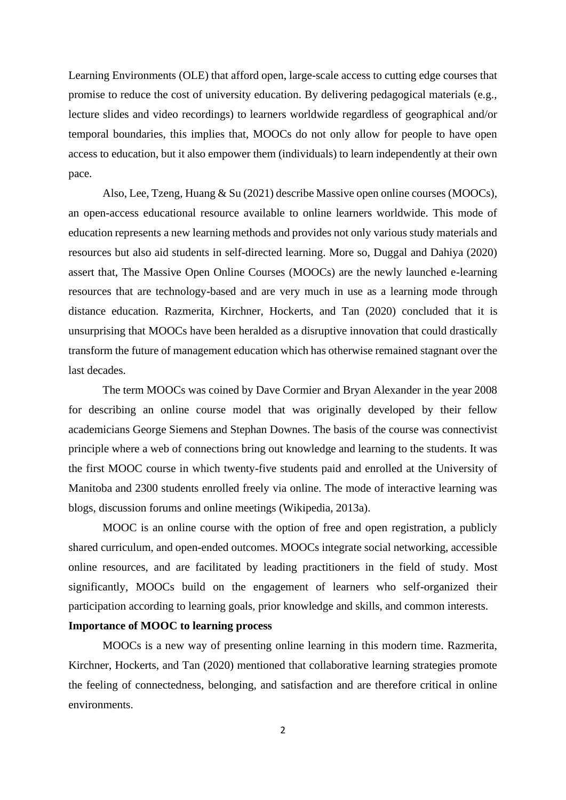Learning Environments (OLE) that afford open, large-scale access to cutting edge courses that promise to reduce the cost of university education. By delivering pedagogical materials (e.g., lecture slides and video recordings) to learners worldwide regardless of geographical and/or temporal boundaries, this implies that, MOOCs do not only allow for people to have open access to education, but it also empower them (individuals) to learn independently at their own pace.

Also, Lee, Tzeng, Huang & Su (2021) describe Massive open online courses (MOOCs), an open-access educational resource available to online learners worldwide. This mode of education represents a new learning methods and provides not only various study materials and resources but also aid students in self-directed learning. More so, Duggal and Dahiya (2020) assert that, The Massive Open Online Courses (MOOCs) are the newly launched e-learning resources that are technology-based and are very much in use as a learning mode through distance education. Razmerita, Kirchner, Hockerts, and Tan (2020) concluded that it is unsurprising that MOOCs have been heralded as a disruptive innovation that could drastically transform the future of management education which has otherwise remained stagnant over the last decades.

The term MOOCs was coined by Dave Cormier and Bryan Alexander in the year 2008 for describing an online course model that was originally developed by their fellow academicians George Siemens and Stephan Downes. The basis of the course was connectivist principle where a web of connections bring out knowledge and learning to the students. It was the first MOOC course in which twenty-five students paid and enrolled at the University of Manitoba and 2300 students enrolled freely via online. The mode of interactive learning was blogs, discussion forums and online meetings (Wikipedia, 2013a).

MOOC is an online course with the option of free and open registration, a publicly shared curriculum, and open-ended outcomes. MOOCs integrate social networking, accessible online resources, and are facilitated by leading practitioners in the field of study. Most significantly, MOOCs build on the engagement of learners who self-organized their participation according to learning goals, prior knowledge and skills, and common interests.

### **Importance of MOOC to learning process**

MOOCs is a new way of presenting online learning in this modern time. Razmerita, Kirchner, Hockerts, and Tan (2020) mentioned that collaborative learning strategies promote the feeling of connectedness, belonging, and satisfaction and are therefore critical in online environments.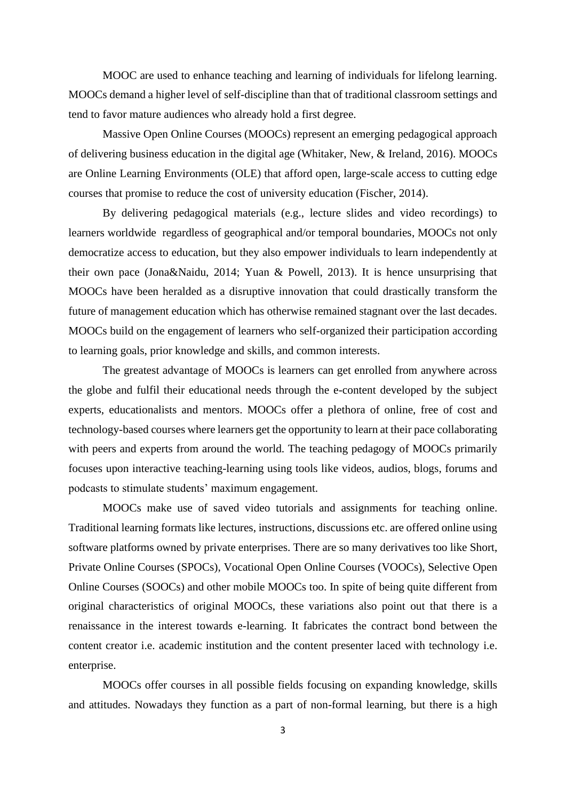MOOC are used to enhance teaching and learning of individuals for lifelong learning. MOOCs demand a higher level of self-discipline than that of traditional classroom settings and tend to favor mature audiences who already hold a first degree.

Massive Open Online Courses (MOOCs) represent an emerging pedagogical approach of delivering business education in the digital age (Whitaker, New, & Ireland, 2016). MOOCs are Online Learning Environments (OLE) that afford open, large-scale access to cutting edge courses that promise to reduce the cost of university education (Fischer, 2014).

By delivering pedagogical materials (e.g., lecture slides and video recordings) to learners worldwide regardless of geographical and/or temporal boundaries, MOOCs not only democratize access to education, but they also empower individuals to learn independently at their own pace (Jona&Naidu, 2014; Yuan & Powell, 2013). It is hence unsurprising that MOOCs have been heralded as a disruptive innovation that could drastically transform the future of management education which has otherwise remained stagnant over the last decades. MOOCs build on the engagement of learners who self-organized their participation according to learning goals, prior knowledge and skills, and common interests.

The greatest advantage of MOOCs is learners can get enrolled from anywhere across the globe and fulfil their educational needs through the e-content developed by the subject experts, educationalists and mentors. MOOCs offer a plethora of online, free of cost and technology-based courses where learners get the opportunity to learn at their pace collaborating with peers and experts from around the world. The teaching pedagogy of MOOCs primarily focuses upon interactive teaching-learning using tools like videos, audios, blogs, forums and podcasts to stimulate students' maximum engagement.

MOOCs make use of saved video tutorials and assignments for teaching online. Traditional learning formats like lectures, instructions, discussions etc. are offered online using software platforms owned by private enterprises. There are so many derivatives too like Short, Private Online Courses (SPOCs), Vocational Open Online Courses (VOOCs), Selective Open Online Courses (SOOCs) and other mobile MOOCs too. In spite of being quite different from original characteristics of original MOOCs, these variations also point out that there is a renaissance in the interest towards e-learning. It fabricates the contract bond between the content creator i.e. academic institution and the content presenter laced with technology i.e. enterprise.

MOOCs offer courses in all possible fields focusing on expanding knowledge, skills and attitudes. Nowadays they function as a part of non-formal learning, but there is a high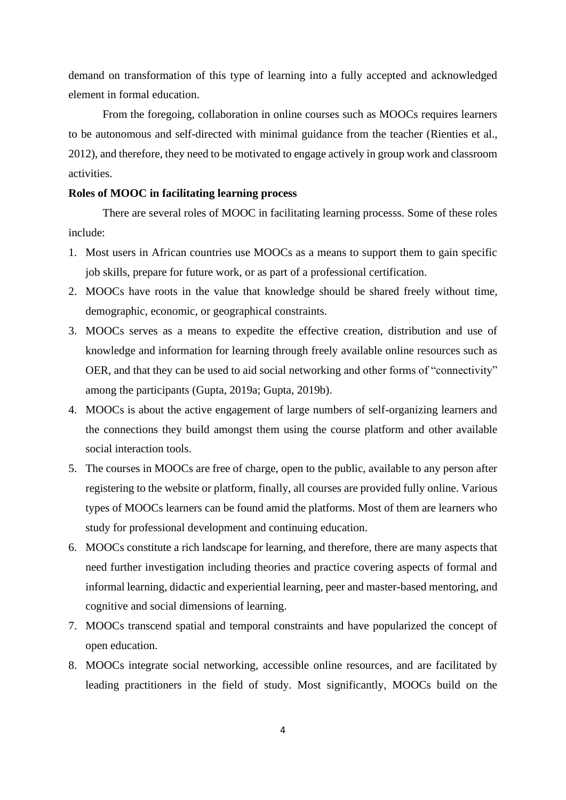demand on transformation of this type of learning into a fully accepted and acknowledged element in formal education.

From the foregoing, collaboration in online courses such as MOOCs requires learners to be autonomous and self-directed with minimal guidance from the teacher (Rienties et al., 2012), and therefore, they need to be motivated to engage actively in group work and classroom activities.

# **Roles of MOOC in facilitating learning process**

There are several roles of MOOC in facilitating learning processs. Some of these roles include:

- 1. Most users in African countries use MOOCs as a means to support them to gain specific job skills, prepare for future work, or as part of a professional certification.
- 2. MOOCs have roots in the value that knowledge should be shared freely without time, demographic, economic, or geographical constraints.
- 3. MOOCs serves as a means to expedite the effective creation, distribution and use of knowledge and information for learning through freely available online resources such as OER, and that they can be used to aid social networking and other forms of "connectivity" among the participants (Gupta, 2019a; Gupta, 2019b).
- 4. MOOCs is about the active engagement of large numbers of self-organizing learners and the connections they build amongst them using the course platform and other available social interaction tools.
- 5. The courses in MOOCs are free of charge, open to the public, available to any person after registering to the website or platform, finally, all courses are provided fully online. Various types of MOOCs learners can be found amid the platforms. Most of them are learners who study for professional development and continuing education.
- 6. MOOCs constitute a rich landscape for learning, and therefore, there are many aspects that need further investigation including theories and practice covering aspects of formal and informal learning, didactic and experiential learning, peer and master-based mentoring, and cognitive and social dimensions of learning.
- 7. MOOCs transcend spatial and temporal constraints and have popularized the concept of open education.
- 8. MOOCs integrate social networking, accessible online resources, and are facilitated by leading practitioners in the field of study. Most significantly, MOOCs build on the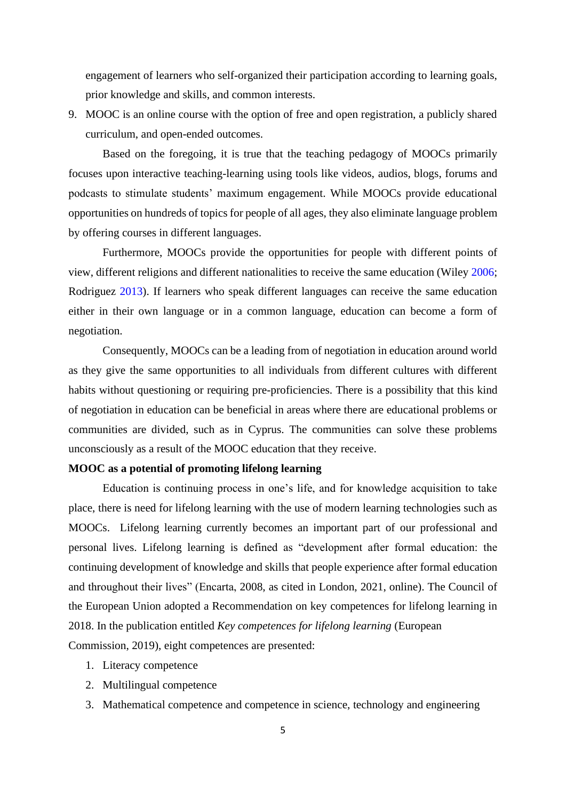engagement of learners who self-organized their participation according to learning goals, prior knowledge and skills, and common interests.

9. MOOC is an online course with the option of free and open registration, a publicly shared curriculum, and open-ended outcomes.

Based on the foregoing, it is true that the teaching pedagogy of MOOCs primarily focuses upon interactive teaching-learning using tools like videos, audios, blogs, forums and podcasts to stimulate students' maximum engagement. While MOOCs provide educational opportunities on hundreds of topics for people of all ages, they also eliminate language problem by offering courses in different languages.

Furthermore, MOOCs provide the opportunities for people with different points of view, different religions and different nationalities to receive the same education (Wiley 2006; Rodriguez 2013). If learners who speak different languages can receive the same education either in their own language or in a common language, education can become a form of negotiation.

Consequently, MOOCs can be a leading from of negotiation in education around world as they give the same opportunities to all individuals from different cultures with different habits without questioning or requiring pre-proficiencies. There is a possibility that this kind of negotiation in education can be beneficial in areas where there are educational problems or communities are divided, such as in Cyprus. The communities can solve these problems unconsciously as a result of the MOOC education that they receive.

#### **MOOC as a potential of promoting lifelong learning**

Education is continuing process in one's life, and for knowledge acquisition to take place, there is need for lifelong learning with the use of modern learning technologies such as MOOCs. Lifelong learning currently becomes an important part of our professional and personal lives. Lifelong learning is defined as "development after formal education: the continuing development of knowledge and skills that people experience after formal education and throughout their lives" (Encarta, 2008, as cited in London, 2021, online). The Council of the European Union adopted a Recommendation on key competences for lifelong learning in 2018. In the publication entitled *Key competences for lifelong learning* (European Commission, 2019), eight competences are presented:

- 1. Literacy competence
- 2. Multilingual competence
- 3. Mathematical competence and competence in science, technology and engineering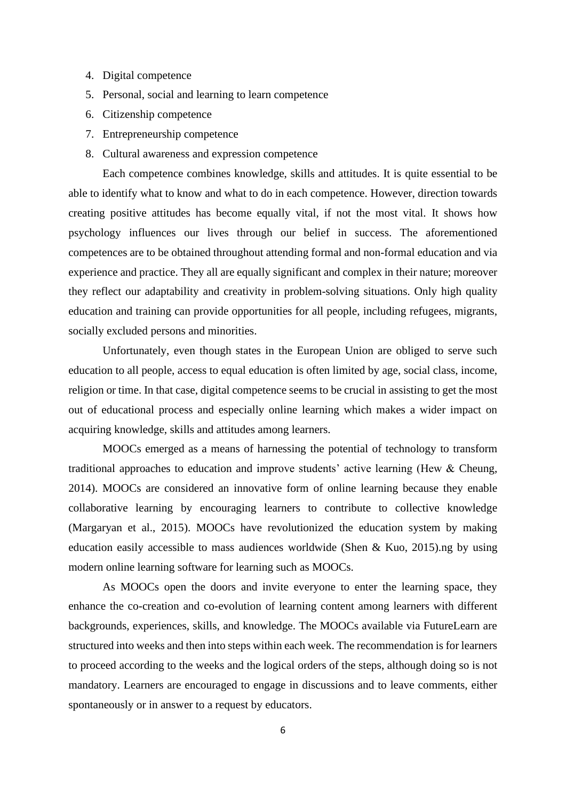- 4. Digital competence
- 5. Personal, social and learning to learn competence
- 6. Citizenship competence
- 7. Entrepreneurship competence
- 8. Cultural awareness and expression competence

Each competence combines knowledge, skills and attitudes. It is quite essential to be able to identify what to know and what to do in each competence. However, direction towards creating positive attitudes has become equally vital, if not the most vital. It shows how psychology influences our lives through our belief in success. The aforementioned competences are to be obtained throughout attending formal and non-formal education and via experience and practice. They all are equally significant and complex in their nature; moreover they reflect our adaptability and creativity in problem-solving situations. Only high quality education and training can provide opportunities for all people, including refugees, migrants, socially excluded persons and minorities.

Unfortunately, even though states in the European Union are obliged to serve such education to all people, access to equal education is often limited by age, social class, income, religion or time. In that case, digital competence seems to be crucial in assisting to get the most out of educational process and especially online learning which makes a wider impact on acquiring knowledge, skills and attitudes among learners.

MOOCs emerged as a means of harnessing the potential of technology to transform traditional approaches to education and improve students' active learning (Hew & Cheung, 2014). MOOCs are considered an innovative form of online learning because they enable collaborative learning by encouraging learners to contribute to collective knowledge (Margaryan et al., 2015). MOOCs have revolutionized the education system by making education easily accessible to mass audiences worldwide (Shen & Kuo, 2015).ng by using modern online learning software for learning such as MOOCs.

As MOOCs open the doors and invite everyone to enter the learning space, they enhance the co-creation and co-evolution of learning content among learners with different backgrounds, experiences, skills, and knowledge. The MOOCs available via FutureLearn are structured into weeks and then into steps within each week. The recommendation is for learners to proceed according to the weeks and the logical orders of the steps, although doing so is not mandatory. Learners are encouraged to engage in discussions and to leave comments, either spontaneously or in answer to a request by educators.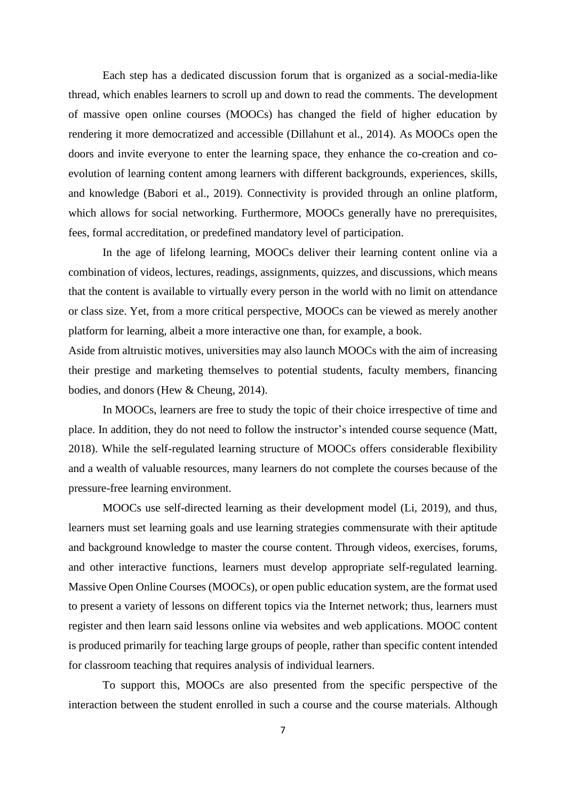Each step has a dedicated discussion forum that is organized as a social-media-like thread, which enables learners to scroll up and down to read the comments. The development of massive open online courses (MOOCs) has changed the field of higher education by rendering it more democratized and accessible (Dillahunt et al., 2014). As MOOCs open the doors and invite everyone to enter the learning space, they enhance the co-creation and coevolution of learning content among learners with different backgrounds, experiences, skills, and knowledge (Babori et al., 2019). Connectivity is provided through an online platform, which allows for social networking. Furthermore, MOOCs generally have no prerequisites, fees, formal accreditation, or predefined mandatory level of participation.

In the age of lifelong learning, MOOCs deliver their learning content online via a combination of videos, lectures, readings, assignments, quizzes, and discussions, which means that the content is available to virtually every person in the world with no limit on attendance or class size. Yet, from a more critical perspective, MOOCs can be viewed as merely another platform for learning, albeit a more interactive one than, for example, a book.

Aside from altruistic motives, universities may also launch MOOCs with the aim of increasing their prestige and marketing themselves to potential students, faculty members, financing bodies, and donors (Hew & Cheung, 2014).

In MOOCs, learners are free to study the topic of their choice irrespective of time and place. In addition, they do not need to follow the instructor's intended course sequence (Matt, 2018). While the self-regulated learning structure of MOOCs offers considerable flexibility and a wealth of valuable resources, many learners do not complete the courses because of the pressure-free learning environment.

MOOCs use self-directed learning as their development model (Li, 2019), and thus, learners must set learning goals and use learning strategies commensurate with their aptitude and background knowledge to master the course content. Through videos, exercises, forums, and other interactive functions, learners must develop appropriate self-regulated learning. Massive Open Online Courses (MOOCs), or open public education system, are the format used to present a variety of lessons on different topics via the Internet network; thus, learners must register and then learn said lessons online via websites and web applications. MOOC content is produced primarily for teaching large groups of people, rather than specific content intended for classroom teaching that requires analysis of individual learners.

To support this, MOOCs are also presented from the specific perspective of the interaction between the student enrolled in such a course and the course materials. Although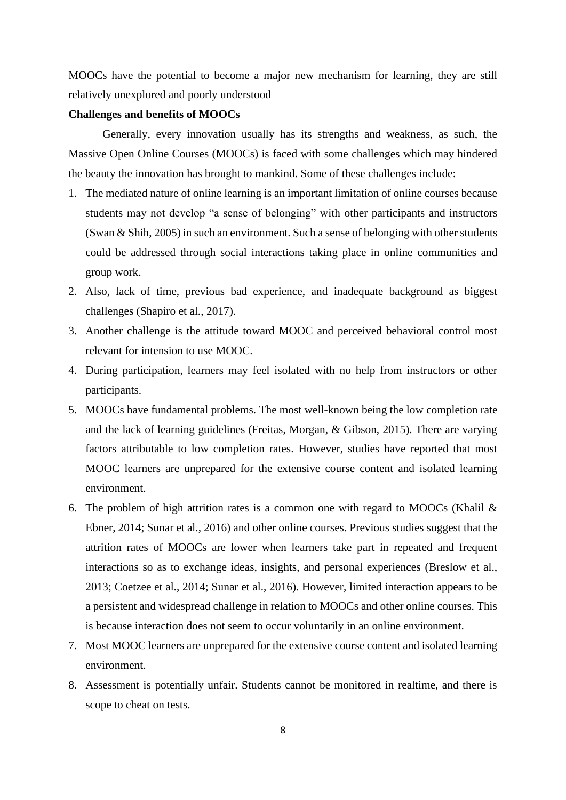MOOCs have the potential to become a major new mechanism for learning, they are still relatively unexplored and poorly understood

#### **Challenges and benefits of MOOCs**

Generally, every innovation usually has its strengths and weakness, as such, the Massive Open Online Courses (MOOCs) is faced with some challenges which may hindered the beauty the innovation has brought to mankind. Some of these challenges include:

- 1. The mediated nature of online learning is an important limitation of online courses because students may not develop "a sense of belonging" with other participants and instructors (Swan & Shih, 2005) in such an environment. Such a sense of belonging with other students could be addressed through social interactions taking place in online communities and group work.
- 2. Also, lack of time, previous bad experience, and inadequate background as biggest challenges (Shapiro et al., 2017).
- 3. Another challenge is the attitude toward MOOC and perceived behavioral control most relevant for intension to use MOOC.
- 4. During participation, learners may feel isolated with no help from instructors or other participants.
- 5. MOOCs have fundamental problems. The most well-known being the low completion rate and the lack of learning guidelines (Freitas, Morgan, & Gibson, 2015). There are varying factors attributable to low completion rates. However, studies have reported that most MOOC learners are unprepared for the extensive course content and isolated learning environment.
- 6. The problem of high attrition rates is a common one with regard to MOOCs (Khalil  $\&$ Ebner, 2014; Sunar et al., 2016) and other online courses. Previous studies suggest that the attrition rates of MOOCs are lower when learners take part in repeated and frequent interactions so as to exchange ideas, insights, and personal experiences (Breslow et al., 2013; Coetzee et al., 2014; Sunar et al., 2016). However, limited interaction appears to be a persistent and widespread challenge in relation to MOOCs and other online courses. This is because interaction does not seem to occur voluntarily in an online environment.
- 7. Most MOOC learners are unprepared for the extensive course content and isolated learning environment.
- 8. Assessment is potentially unfair. Students cannot be monitored in realtime, and there is scope to cheat on tests.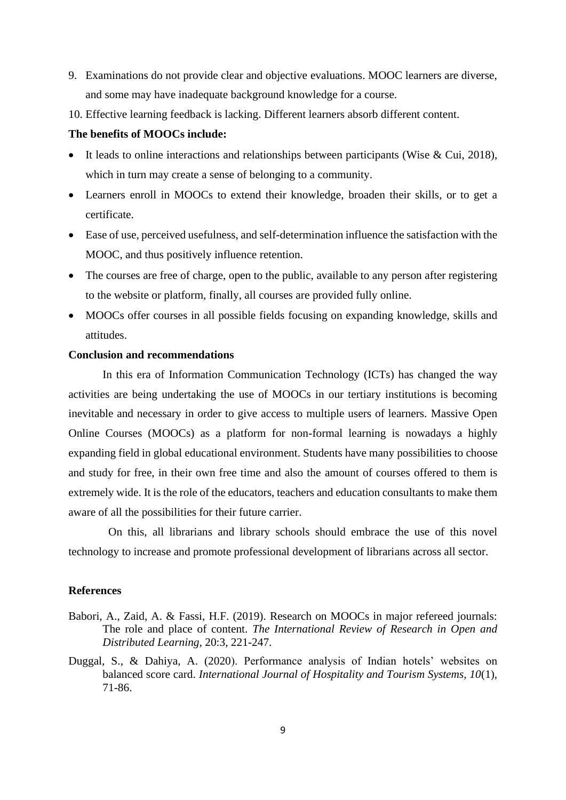- 9. Examinations do not provide clear and objective evaluations. MOOC learners are diverse, and some may have inadequate background knowledge for a course.
- 10. Effective learning feedback is lacking. Different learners absorb different content.

## **The benefits of MOOCs include:**

- It leads to online interactions and relationships between participants (Wise & Cui, 2018), which in turn may create a sense of belonging to a community.
- Learners enroll in MOOCs to extend their knowledge, broaden their skills, or to get a certificate.
- Ease of use, perceived usefulness, and self-determination influence the satisfaction with the MOOC, and thus positively influence retention.
- The courses are free of charge, open to the public, available to any person after registering to the website or platform, finally, all courses are provided fully online.
- MOOCs offer courses in all possible fields focusing on expanding knowledge, skills and attitudes.

#### **Conclusion and recommendations**

In this era of Information Communication Technology (ICTs) has changed the way activities are being undertaking the use of MOOCs in our tertiary institutions is becoming inevitable and necessary in order to give access to multiple users of learners. Massive Open Online Courses (MOOCs) as a platform for non-formal learning is nowadays a highly expanding field in global educational environment. Students have many possibilities to choose and study for free, in their own free time and also the amount of courses offered to them is extremely wide. It is the role of the educators, teachers and education consultants to make them aware of all the possibilities for their future carrier.

 On this, all librarians and library schools should embrace the use of this novel technology to increase and promote professional development of librarians across all sector.

#### **References**

- Babori, A., Zaid, A. & Fassi, H.F. (2019). Research on MOOCs in major refereed journals: The role and place of content. *The International Review of Research in Open and Distributed Learning,* 20:3, 221-247.
- Duggal, S., & Dahiya, A. (2020). Performance analysis of Indian hotels' websites on balanced score card. *International Journal of Hospitality and Tourism Systems, 10*(1), 71-86.